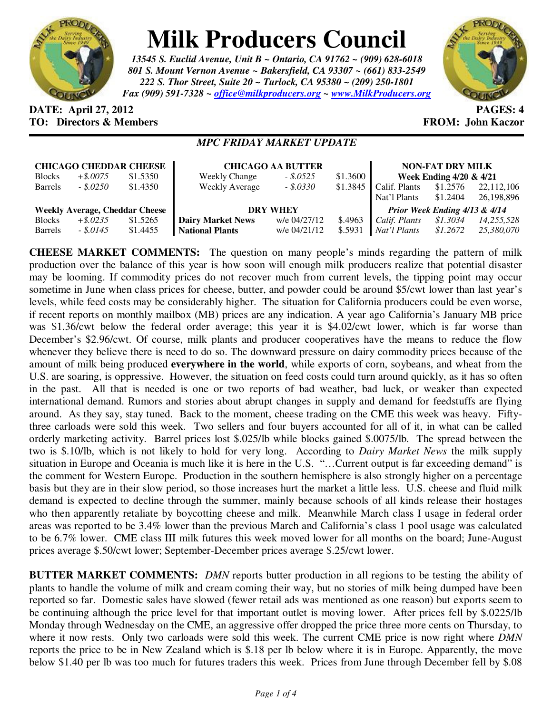

## **Milk Producers Council**

*13545 S. Euclid Avenue, Unit B ~ Ontario, CA 91762 ~ (909) 628-6018 801 S. Mount Vernon Avenue ~ Bakersfield, CA 93307 ~ (661) 833-2549 222 S. Thor Street, Suite 20 ~ Turlock, CA 95380 ~ (209) 250-1801 Fax (909) 591-7328 ~ office@milkproducers.org ~ www.MilkProducers.org*



## **DATE: April 27, 2012 PAGES: 4 TO: Directors & Members EROM: John Kaczor**

## *MPC FRIDAY MARKET UPDATE*

| <b>CHICAGO CHEDDAR CHEESE</b>         |             |          | <b>CHICAGO AA BUTTER</b> | <b>NON-FAT DRY MILK</b> |          |                                    |          |            |
|---------------------------------------|-------------|----------|--------------------------|-------------------------|----------|------------------------------------|----------|------------|
| <b>Blocks</b>                         | $+$ \$.0075 | \$1.5350 | <b>Weekly Change</b>     | $-.5.0525$              | \$1.3600 | <b>Week Ending 4/20 &amp; 4/21</b> |          |            |
| <b>Barrels</b>                        | $-.5.0250$  | \$1.4350 | <b>Weekly Average</b>    | $-.5.0330$              | \$1.3845 | Calif. Plants                      | \$1.2576 | 22,112,106 |
|                                       |             |          |                          |                         |          | Nat'l Plants                       | \$1.2404 | 26,198,896 |
| <b>Weekly Average, Cheddar Cheese</b> |             |          | <b>DRY WHEY</b>          |                         |          | Prior Week Ending 4/13 & 4/14      |          |            |
| <b>Blocks</b>                         | $+$ \$.0235 | \$1.5265 | <b>Dairy Market News</b> | w/e 04/27/12            | \$.4963  | Calif. Plants                      | \$1.3034 | 14,255,528 |
| <b>Barrels</b>                        | $-.5.0145$  | \$1.4455 | <b>National Plants</b>   | w/e 04/21/12            | \$.5931  | Nat'l Plants                       | \$1,2672 | 25,380,070 |

**CHEESE MARKET COMMENTS:** The question on many people's minds regarding the pattern of milk production over the balance of this year is how soon will enough milk producers realize that potential disaster may be looming. If commodity prices do not recover much from current levels, the tipping point may occur sometime in June when class prices for cheese, butter, and powder could be around \$5/cwt lower than last year's levels, while feed costs may be considerably higher. The situation for California producers could be even worse, if recent reports on monthly mailbox (MB) prices are any indication. A year ago California's January MB price was \$1.36/cwt below the federal order average; this year it is \$4.02/cwt lower, which is far worse than December's \$2.96/cwt. Of course, milk plants and producer cooperatives have the means to reduce the flow whenever they believe there is need to do so. The downward pressure on dairy commodity prices because of the amount of milk being produced **everywhere in the world**, while exports of corn, soybeans, and wheat from the U.S. are soaring, is oppressive. However, the situation on feed costs could turn around quickly, as it has so often in the past. All that is needed is one or two reports of bad weather, bad luck, or weaker than expected international demand. Rumors and stories about abrupt changes in supply and demand for feedstuffs are flying around. As they say, stay tuned. Back to the moment, cheese trading on the CME this week was heavy. Fiftythree carloads were sold this week. Two sellers and four buyers accounted for all of it, in what can be called orderly marketing activity. Barrel prices lost \$.025/lb while blocks gained \$.0075/lb. The spread between the two is \$.10/lb, which is not likely to hold for very long. According to *Dairy Market News* the milk supply situation in Europe and Oceania is much like it is here in the U.S. "...Current output is far exceeding demand" is the comment for Western Europe. Production in the southern hemisphere is also strongly higher on a percentage basis but they are in their slow period, so those increases hurt the market a little less. U.S. cheese and fluid milk demand is expected to decline through the summer, mainly because schools of all kinds release their hostages who then apparently retaliate by boycotting cheese and milk. Meanwhile March class I usage in federal order areas was reported to be 3.4% lower than the previous March and California's class 1 pool usage was calculated to be 6.7% lower. CME class III milk futures this week moved lower for all months on the board; June-August prices average \$.50/cwt lower; September-December prices average \$.25/cwt lower.

**BUTTER MARKET COMMENTS:** *DMN* reports butter production in all regions to be testing the ability of plants to handle the volume of milk and cream coming their way, but no stories of milk being dumped have been reported so far. Domestic sales have slowed (fewer retail ads was mentioned as one reason) but exports seem to be continuing although the price level for that important outlet is moving lower. After prices fell by \$.0225/lb Monday through Wednesday on the CME, an aggressive offer dropped the price three more cents on Thursday, to where it now rests. Only two carloads were sold this week. The current CME price is now right where *DMN* reports the price to be in New Zealand which is \$.18 per lb below where it is in Europe. Apparently, the move below \$1.40 per lb was too much for futures traders this week. Prices from June through December fell by \$.08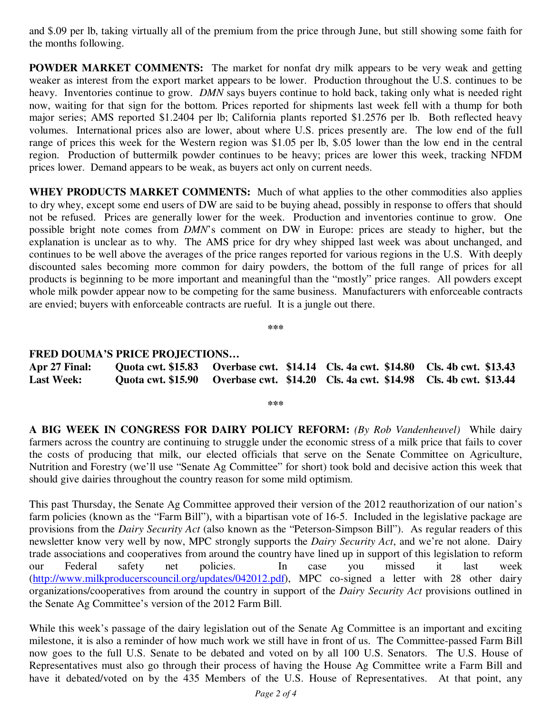and \$.09 per lb, taking virtually all of the premium from the price through June, but still showing some faith for the months following.

**POWDER MARKET COMMENTS:** The market for nonfat dry milk appears to be very weak and getting weaker as interest from the export market appears to be lower. Production throughout the U.S. continues to be heavy. Inventories continue to grow. *DMN* says buyers continue to hold back, taking only what is needed right now, waiting for that sign for the bottom. Prices reported for shipments last week fell with a thump for both major series; AMS reported \$1.2404 per lb; California plants reported \$1.2576 per lb. Both reflected heavy volumes. International prices also are lower, about where U.S. prices presently are. The low end of the full range of prices this week for the Western region was \$1.05 per lb, \$.05 lower than the low end in the central region. Production of buttermilk powder continues to be heavy; prices are lower this week, tracking NFDM prices lower. Demand appears to be weak, as buyers act only on current needs.

**WHEY PRODUCTS MARKET COMMENTS:** Much of what applies to the other commodities also applies to dry whey, except some end users of DW are said to be buying ahead, possibly in response to offers that should not be refused. Prices are generally lower for the week. Production and inventories continue to grow. One possible bright note comes from *DMN*'s comment on DW in Europe: prices are steady to higher, but the explanation is unclear as to why. The AMS price for dry whey shipped last week was about unchanged, and continues to be well above the averages of the price ranges reported for various regions in the U.S. With deeply discounted sales becoming more common for dairy powders, the bottom of the full range of prices for all products is beginning to be more important and meaningful than the "mostly" price ranges. All powders except whole milk powder appear now to be competing for the same business. Manufacturers with enforceable contracts are envied; buyers with enforceable contracts are rueful. It is a jungle out there.

**\*\*\*** 

## **FRED DOUMA'S PRICE PROJECTIONS…**

| Apr 27 Final:     |  | Quota cwt. \$15.83 Overbase cwt. \$14.14 Cls. 4a cwt. \$14.80 Cls. 4b cwt. \$13.43 |  |
|-------------------|--|------------------------------------------------------------------------------------|--|
| <b>Last Week:</b> |  | Quota cwt. \$15.90 Overbase cwt. \$14.20 Cls. 4a cwt. \$14.98 Cls. 4b cwt. \$13.44 |  |

**\*\*\*** 

**A BIG WEEK IN CONGRESS FOR DAIRY POLICY REFORM:** *(By Rob Vandenheuvel)* While dairy farmers across the country are continuing to struggle under the economic stress of a milk price that fails to cover the costs of producing that milk, our elected officials that serve on the Senate Committee on Agriculture, Nutrition and Forestry (we'll use "Senate Ag Committee" for short) took bold and decisive action this week that should give dairies throughout the country reason for some mild optimism.

This past Thursday, the Senate Ag Committee approved their version of the 2012 reauthorization of our nation's farm policies (known as the "Farm Bill"), with a bipartisan vote of 16-5. Included in the legislative package are provisions from the *Dairy Security Act* (also known as the "Peterson-Simpson Bill"). As regular readers of this newsletter know very well by now, MPC strongly supports the *Dairy Security Act*, and we're not alone. Dairy trade associations and cooperatives from around the country have lined up in support of this legislation to reform our Federal safety net policies. In case you missed it last week (http://www.milkproducerscouncil.org/updates/042012.pdf), MPC co-signed a letter with 28 other dairy organizations/cooperatives from around the country in support of the *Dairy Security Act* provisions outlined in the Senate Ag Committee's version of the 2012 Farm Bill.

While this week's passage of the dairy legislation out of the Senate Ag Committee is an important and exciting milestone, it is also a reminder of how much work we still have in front of us. The Committee-passed Farm Bill now goes to the full U.S. Senate to be debated and voted on by all 100 U.S. Senators. The U.S. House of Representatives must also go through their process of having the House Ag Committee write a Farm Bill and have it debated/voted on by the 435 Members of the U.S. House of Representatives. At that point, any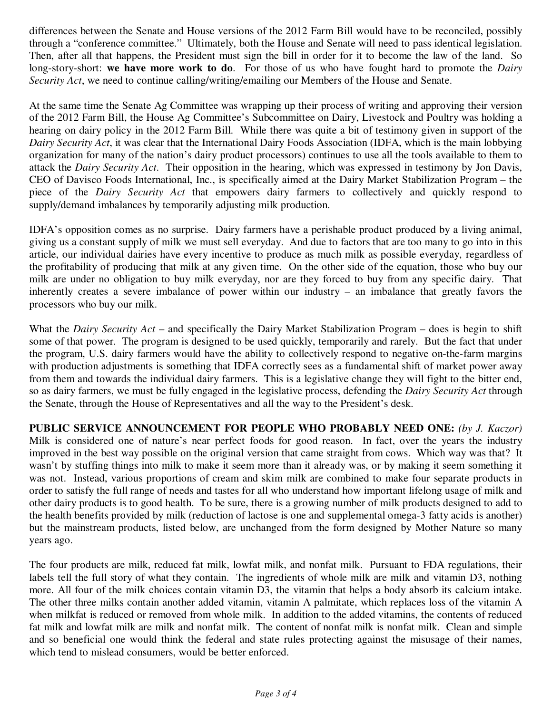differences between the Senate and House versions of the 2012 Farm Bill would have to be reconciled, possibly through a "conference committee." Ultimately, both the House and Senate will need to pass identical legislation. Then, after all that happens, the President must sign the bill in order for it to become the law of the land. So long-story-short: **we have more work to do**. For those of us who have fought hard to promote the *Dairy Security Act*, we need to continue calling/writing/emailing our Members of the House and Senate.

At the same time the Senate Ag Committee was wrapping up their process of writing and approving their version of the 2012 Farm Bill, the House Ag Committee's Subcommittee on Dairy, Livestock and Poultry was holding a hearing on dairy policy in the 2012 Farm Bill. While there was quite a bit of testimony given in support of the *Dairy Security Act*, it was clear that the International Dairy Foods Association (IDFA, which is the main lobbying organization for many of the nation's dairy product processors) continues to use all the tools available to them to attack the *Dairy Security Act*. Their opposition in the hearing, which was expressed in testimony by Jon Davis, CEO of Davisco Foods International, Inc., is specifically aimed at the Dairy Market Stabilization Program – the piece of the *Dairy Security Act* that empowers dairy farmers to collectively and quickly respond to supply/demand imbalances by temporarily adjusting milk production.

IDFA's opposition comes as no surprise. Dairy farmers have a perishable product produced by a living animal, giving us a constant supply of milk we must sell everyday. And due to factors that are too many to go into in this article, our individual dairies have every incentive to produce as much milk as possible everyday, regardless of the profitability of producing that milk at any given time. On the other side of the equation, those who buy our milk are under no obligation to buy milk everyday, nor are they forced to buy from any specific dairy. That inherently creates a severe imbalance of power within our industry – an imbalance that greatly favors the processors who buy our milk.

What the *Dairy Security Act* – and specifically the Dairy Market Stabilization Program – does is begin to shift some of that power. The program is designed to be used quickly, temporarily and rarely. But the fact that under the program, U.S. dairy farmers would have the ability to collectively respond to negative on-the-farm margins with production adjustments is something that IDFA correctly sees as a fundamental shift of market power away from them and towards the individual dairy farmers. This is a legislative change they will fight to the bitter end, so as dairy farmers, we must be fully engaged in the legislative process, defending the *Dairy Security Act* through the Senate, through the House of Representatives and all the way to the President's desk.

**PUBLIC SERVICE ANNOUNCEMENT FOR PEOPLE WHO PROBABLY NEED ONE:** *(by J. Kaczor)*  Milk is considered one of nature's near perfect foods for good reason. In fact, over the years the industry improved in the best way possible on the original version that came straight from cows. Which way was that? It wasn't by stuffing things into milk to make it seem more than it already was, or by making it seem something it was not. Instead, various proportions of cream and skim milk are combined to make four separate products in order to satisfy the full range of needs and tastes for all who understand how important lifelong usage of milk and other dairy products is to good health. To be sure, there is a growing number of milk products designed to add to the health benefits provided by milk (reduction of lactose is one and supplemental omega-3 fatty acids is another) but the mainstream products, listed below, are unchanged from the form designed by Mother Nature so many years ago.

The four products are milk, reduced fat milk, lowfat milk, and nonfat milk. Pursuant to FDA regulations, their labels tell the full story of what they contain. The ingredients of whole milk are milk and vitamin D3, nothing more. All four of the milk choices contain vitamin D3, the vitamin that helps a body absorb its calcium intake. The other three milks contain another added vitamin, vitamin A palmitate, which replaces loss of the vitamin A when milkfat is reduced or removed from whole milk. In addition to the added vitamins, the contents of reduced fat milk and lowfat milk are milk and nonfat milk. The content of nonfat milk is nonfat milk. Clean and simple and so beneficial one would think the federal and state rules protecting against the misusage of their names, which tend to mislead consumers, would be better enforced.